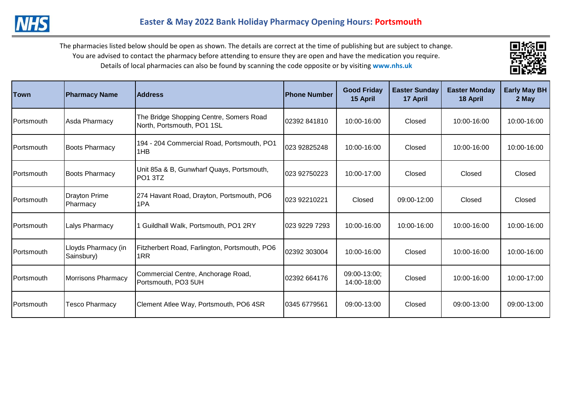

| <b>Town</b>        | <b>Pharmacy Name</b>              | <b>Address</b>                                                        | <b>Phone Number</b> | <b>Good Friday</b><br>15 April | <b>Easter Sunday</b><br>17 April | <b>Easter Monday</b><br>18 April | <b>Early May BH</b><br>2 May |
|--------------------|-----------------------------------|-----------------------------------------------------------------------|---------------------|--------------------------------|----------------------------------|----------------------------------|------------------------------|
| lPortsmouth.       | Asda Pharmacy                     | The Bridge Shopping Centre, Somers Road<br>North, Portsmouth, PO1 1SL | 02392 841810        | 10:00-16:00                    | Closed                           | 10:00-16:00                      | 10:00-16:00                  |
| <b>IPortsmouth</b> | <b>Boots Pharmacy</b>             | 194 - 204 Commercial Road, Portsmouth, PO1<br>1HB                     | 023 92825248        | 10:00-16:00                    | Closed                           | 10:00-16:00                      | 10:00-16:00                  |
| lPortsmouth.       | <b>Boots Pharmacy</b>             | Unit 85a & B, Gunwharf Quays, Portsmouth,<br>PO <sub>1</sub> 3TZ      | 023 92750223        | 10:00-17:00                    | Closed                           | Closed                           | Closed                       |
| Portsmouth         | <b>Drayton Prime</b><br>Pharmacy  | 274 Havant Road, Drayton, Portsmouth, PO6<br>1PA                      | 023 92210221        | Closed                         | 09:00-12:00                      | Closed                           | Closed                       |
| <b>IPortsmouth</b> | Lalys Pharmacy                    | 1 Guildhall Walk, Portsmouth, PO1 2RY                                 | 023 9229 7293       | 10:00-16:00                    | 10:00-16:00                      | 10:00-16:00                      | 10:00-16:00                  |
| Portsmouth         | Lloyds Pharmacy (in<br>Sainsbury) | Fitzherbert Road, Farlington, Portsmouth, PO6<br>1RR                  | 02392 303004        | 10:00-16:00                    | Closed                           | 10:00-16:00                      | 10:00-16:00                  |
| Portsmouth         | <b>Morrisons Pharmacy</b>         | Commercial Centre, Anchorage Road,<br>Portsmouth, PO3 5UH             | 02392 664176        | 09:00-13:00;<br>14:00-18:00    | Closed                           | 10:00-16:00                      | 10:00-17:00                  |
| <b>IPortsmouth</b> | Tesco Pharmacy                    | Clement Atlee Way, Portsmouth, PO6 4SR                                | 0345 6779561        | 09:00-13:00                    | Closed                           | 09:00-13:00                      | 09:00-13:00                  |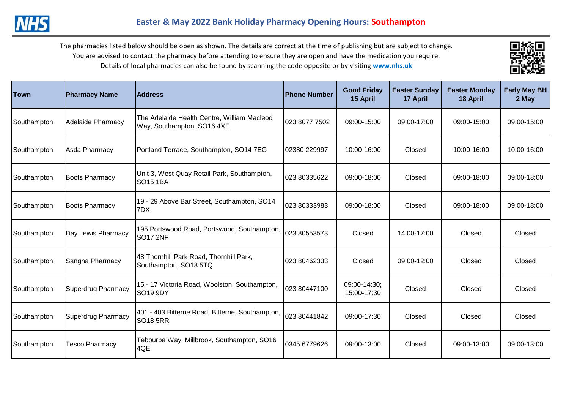

| <b>Town</b> | <b>Pharmacy Name</b>      | <b>Address</b>                                                            | <b>IPhone Number</b> | <b>Good Friday</b><br>15 April | <b>Easter Sunday</b><br>17 April | <b>Easter Monday</b><br>18 April | <b>Early May BH</b><br>2 May |
|-------------|---------------------------|---------------------------------------------------------------------------|----------------------|--------------------------------|----------------------------------|----------------------------------|------------------------------|
| Southampton | <b>Adelaide Pharmacy</b>  | The Adelaide Health Centre, William Macleod<br>Way, Southampton, SO16 4XE | 023 8077 7502        | 09:00-15:00                    | 09:00-17:00                      | 09:00-15:00                      | 09:00-15:00                  |
| Southampton | Asda Pharmacy             | Portland Terrace, Southampton, SO14 7EG                                   | 02380 229997         | 10:00-16:00                    | Closed                           | 10:00-16:00                      | 10:00-16:00                  |
| Southampton | <b>Boots Pharmacy</b>     | Unit 3, West Quay Retail Park, Southampton,<br><b>SO15 1BA</b>            | 023 80335622         | 09:00-18:00                    | Closed                           | 09:00-18:00                      | 09:00-18:00                  |
| Southampton | <b>Boots Pharmacy</b>     | 19 - 29 Above Bar Street, Southampton, SO14<br>7DX                        | 023 80333983         | 09:00-18:00                    | Closed                           | 09:00-18:00                      | 09:00-18:00                  |
| Southampton | Day Lewis Pharmacy        | 195 Portswood Road, Portswood, Southampton,<br>SO <sub>17</sub> 2NF       | 023 80553573         | Closed                         | 14:00-17:00                      | Closed                           | Closed                       |
| Southampton | Sangha Pharmacy           | 48 Thornhill Park Road, Thornhill Park,<br>Southampton, SO18 5TQ          | 023 80462333         | Closed                         | 09:00-12:00                      | Closed                           | Closed                       |
| Southampton | <b>Superdrug Pharmacy</b> | 15 - 17 Victoria Road, Woolston, Southampton,<br>SO19 9DY                 | 023 80447100         | 09:00-14:30;<br>15:00-17:30    | Closed                           | Closed                           | Closed                       |
| Southampton | <b>Superdrug Pharmacy</b> | 401 - 403 Bitterne Road, Bitterne, Southampton,<br>SO <sub>18</sub> 5RR   | 023 80441842         | 09:00-17:30                    | Closed                           | Closed                           | Closed                       |
| Southampton | Tesco Pharmacy            | Tebourba Way, Millbrook, Southampton, SO16<br>4QE                         | 0345 6779626         | 09:00-13:00                    | Closed                           | 09:00-13:00                      | 09:00-13:00                  |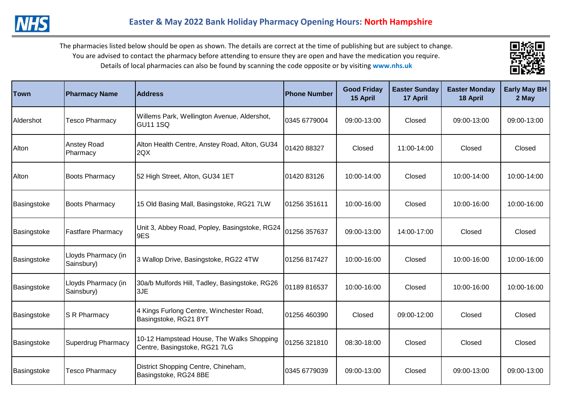

| <b>Town</b> | <b>Pharmacy Name</b>              | <b>Address</b>                                                             | <b>Phone Number</b> | <b>Good Friday</b><br>15 April | <b>Easter Sunday</b><br>17 April | <b>Easter Monday</b><br>18 April | <b>Early May BH</b><br>2 May |
|-------------|-----------------------------------|----------------------------------------------------------------------------|---------------------|--------------------------------|----------------------------------|----------------------------------|------------------------------|
| Aldershot   | <b>Tesco Pharmacy</b>             | Willems Park, Wellington Avenue, Aldershot,<br>GU11 1SQ                    | 0345 6779004        | 09:00-13:00                    | Closed                           | 09:00-13:00                      | 09:00-13:00                  |
| Alton       | <b>Anstey Road</b><br>Pharmacy    | Alton Health Centre, Anstey Road, Alton, GU34<br>2QX                       | 01420 88327         | Closed                         | 11:00-14:00                      | Closed                           | Closed                       |
| Alton       | <b>Boots Pharmacy</b>             | 52 High Street, Alton, GU34 1ET                                            | 01420 83126         | 10:00-14:00                    | Closed                           | 10:00-14:00                      | 10:00-14:00                  |
| Basingstoke | <b>Boots Pharmacy</b>             | 15 Old Basing Mall, Basingstoke, RG21 7LW                                  | 01256 351611        | 10:00-16:00                    | Closed                           | 10:00-16:00                      | 10:00-16:00                  |
| Basingstoke | <b>Fastfare Pharmacy</b>          | Unit 3, Abbey Road, Popley, Basingstoke, RG24<br>9ES                       | 01256 357637        | 09:00-13:00                    | 14:00-17:00                      | Closed                           | Closed                       |
| Basingstoke | Lloyds Pharmacy (in<br>Sainsbury) | 3 Wallop Drive, Basingstoke, RG22 4TW                                      | 01256 817427        | 10:00-16:00                    | Closed                           | 10:00-16:00                      | 10:00-16:00                  |
| Basingstoke | Lloyds Pharmacy (in<br>Sainsbury) | 30a/b Mulfords Hill, Tadley, Basingstoke, RG26<br>3JE                      | 01189 816537        | 10:00-16:00                    | Closed                           | 10:00-16:00                      | 10:00-16:00                  |
| Basingstoke | S R Pharmacy                      | 4 Kings Furlong Centre, Winchester Road,<br>Basingstoke, RG21 8YT          | 01256 460390        | Closed                         | 09:00-12:00                      | Closed                           | Closed                       |
| Basingstoke | <b>Superdrug Pharmacy</b>         | 10-12 Hampstead House, The Walks Shopping<br>Centre, Basingstoke, RG21 7LG | 01256 321810        | 08:30-18:00                    | Closed                           | Closed                           | Closed                       |
| Basingstoke | <b>Tesco Pharmacy</b>             | District Shopping Centre, Chineham,<br>Basingstoke, RG24 8BE               | 0345 6779039        | 09:00-13:00                    | Closed                           | 09:00-13:00                      | 09:00-13:00                  |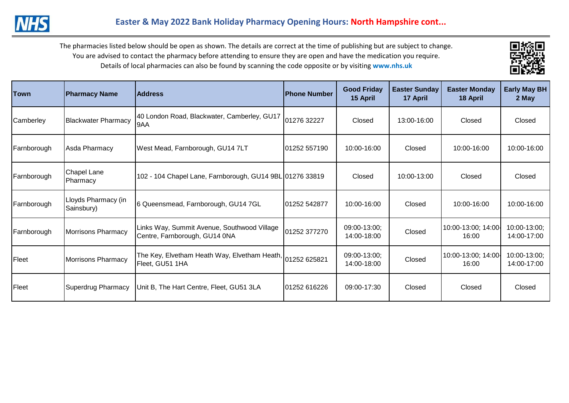

| Town        | <b>Pharmacy Name</b>              | <b>Address</b>                                                                         | lPhone Number | <b>Good Friday</b><br>15 April | <b>Easter Sunday</b><br>17 April | <b>Easter Monday</b><br>18 April | <b>Early May BH</b><br>2 May |
|-------------|-----------------------------------|----------------------------------------------------------------------------------------|---------------|--------------------------------|----------------------------------|----------------------------------|------------------------------|
| Camberley   | <b>Blackwater Pharmacy</b>        | 40 London Road, Blackwater, Camberley, GU17<br>9AA                                     | 01276 32227   | Closed                         | 13:00-16:00                      | Closed                           | Closed                       |
| Farnborough | Asda Pharmacy                     | West Mead, Farnborough, GU14 7LT                                                       | 01252 557190  | 10:00-16:00                    | Closed                           | 10:00-16:00                      | 10:00-16:00                  |
| Farnborough | <b>Chapel Lane</b><br>Pharmacy    | 102 - 104 Chapel Lane, Farnborough, GU14 9BL 01276 33819                               |               | Closed                         | 10:00-13:00                      | Closed                           | Closed                       |
| Farnborough | Lloyds Pharmacy (in<br>Sainsbury) | 6 Queensmead, Farnborough, GU14 7GL                                                    | 01252 542877  | 10:00-16:00                    | Closed                           | 10:00-16:00                      | 10:00-16:00                  |
| Farnborough | <b>Morrisons Pharmacy</b>         | Links Way, Summit Avenue, Southwood Village<br>Centre, Farnborough, GU14 0NA           | 01252 377270  | 09:00-13:00;<br>14:00-18:00    | Closed                           | 10:00-13:00; 14:00<br>16:00      | 10:00-13:00;<br>14:00-17:00  |
| Fleet       | <b>Morrisons Pharmacy</b>         | The Key, Elvetham Heath Way, Elvetham Heath, $\big _{01252}$ 625821<br>Fleet, GU51 1HA |               | 09:00-13:00;<br>14:00-18:00    | Closed                           | 10:00-13:00; 14:00<br>16:00      | 10:00-13:00;<br>14:00-17:00  |
| Fleet       | Superdrug Pharmacy                | Unit B, The Hart Centre, Fleet, GU51 3LA                                               | 101252 616226 | 09:00-17:30                    | Closed                           | Closed                           | Closed                       |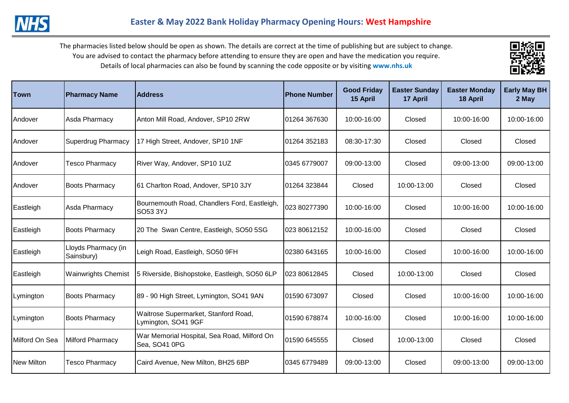

| <b>Town</b>       | <b>Pharmacy Name</b>              | <b>Address</b>                                               | <b>Phone Number</b> | <b>Good Friday</b><br>15 April | <b>Easter Sunday</b><br>17 April | <b>Easter Monday</b><br>18 April | <b>Early May BH</b><br>2 May |
|-------------------|-----------------------------------|--------------------------------------------------------------|---------------------|--------------------------------|----------------------------------|----------------------------------|------------------------------|
| Andover           | Asda Pharmacy                     | Anton Mill Road, Andover, SP10 2RW                           | 01264 367630        | 10:00-16:00                    | Closed                           | 10:00-16:00                      | 10:00-16:00                  |
| Andover           | <b>Superdrug Pharmacy</b>         | 17 High Street, Andover, SP10 1NF                            | 01264 352183        | 08:30-17:30                    | Closed                           | Closed                           | Closed                       |
| Andover           | Tesco Pharmacy                    | River Way, Andover, SP10 1UZ                                 | 0345 6779007        | 09:00-13:00                    | Closed                           | 09:00-13:00                      | 09:00-13:00                  |
| <b>Andover</b>    | <b>Boots Pharmacy</b>             | 61 Charlton Road, Andover, SP10 3JY                          | 01264 323844        | Closed                         | 10:00-13:00                      | Closed                           | Closed                       |
| Eastleigh         | Asda Pharmacy                     | Bournemouth Road, Chandlers Ford, Eastleigh,<br>SO53 3YJ     | 023 80277390        | 10:00-16:00                    | Closed                           | 10:00-16:00                      | 10:00-16:00                  |
| Eastleigh         | <b>Boots Pharmacy</b>             | 20 The Swan Centre, Eastleigh, SO50 5SG                      | 023 80612152        | 10:00-16:00                    | Closed                           | Closed                           | Closed                       |
| Eastleigh         | Lloyds Pharmacy (in<br>Sainsbury) | Leigh Road, Eastleigh, SO50 9FH                              | 02380 643165        | 10:00-16:00                    | Closed                           | 10:00-16:00                      | 10:00-16:00                  |
| Eastleigh         | <b>Wainwrights Chemist</b>        | 5 Riverside, Bishopstoke, Eastleigh, SO50 6LP                | 023 80612845        | Closed                         | 10:00-13:00                      | Closed                           | Closed                       |
| Lymington         | <b>Boots Pharmacy</b>             | 89 - 90 High Street, Lymington, SO41 9AN                     | 01590 673097        | Closed                         | Closed                           | 10:00-16:00                      | 10:00-16:00                  |
| Lymington         | <b>Boots Pharmacy</b>             | Waitrose Supermarket, Stanford Road,<br>Lymington, SO41 9GF  | 01590 678874        | 10:00-16:00                    | Closed                           | 10:00-16:00                      | 10:00-16:00                  |
| Milford On Sea    | <b>Milford Pharmacy</b>           | War Memorial Hospital, Sea Road, Milford On<br>Sea, SO41 0PG | 01590 645555        | Closed                         | 10:00-13:00                      | Closed                           | Closed                       |
| <b>New Milton</b> | <b>Tesco Pharmacy</b>             | Caird Avenue, New Milton, BH25 6BP                           | 0345 6779489        | 09:00-13:00                    | Closed                           | 09:00-13:00                      | 09:00-13:00                  |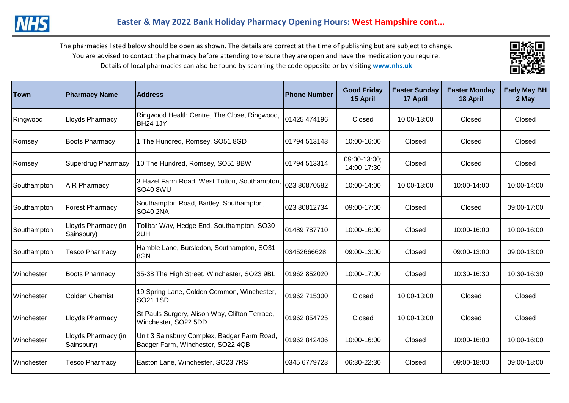

| Town                | <b>Pharmacy Name</b>              | <b>Address</b>                                                                   | <b>Phone Number</b> | <b>Good Friday</b><br>15 April | <b>Easter Sunday</b><br>17 April | <b>Easter Monday</b><br>18 April | Early May BH<br>2 May |
|---------------------|-----------------------------------|----------------------------------------------------------------------------------|---------------------|--------------------------------|----------------------------------|----------------------------------|-----------------------|
| Ringwood            | <b>Lloyds Pharmacy</b>            | Ringwood Health Centre, The Close, Ringwood,<br><b>BH24 1JY</b>                  | 01425 474196        | Closed                         | 10:00-13:00                      | Closed                           | Closed                |
| Romsey              | <b>Boots Pharmacy</b>             | 1 The Hundred, Romsey, SO51 8GD                                                  | 01794 513143        | 10:00-16:00                    | Closed                           | Closed                           | Closed                |
| Romsey              | <b>Superdrug Pharmacy</b>         | 10 The Hundred, Romsey, SO51 8BW                                                 | 01794 513314        | 09:00-13:00;<br>14:00-17:30    | Closed                           | Closed                           | Closed                |
| Southampton         | A R Pharmacy                      | 3 Hazel Farm Road, West Totton, Southampton,<br><b>SO40 8WU</b>                  | 023 80870582        | 10:00-14:00                    | 10:00-13:00                      | 10:00-14:00                      | 10:00-14:00           |
| Southampton         | <b>Forest Pharmacy</b>            | Southampton Road, Bartley, Southampton,<br><b>SO40 2NA</b>                       | 023 80812734        | 09:00-17:00                    | Closed                           | Closed                           | 09:00-17:00           |
| Southampton         | Lloyds Pharmacy (in<br>Sainsbury) | Tollbar Way, Hedge End, Southampton, SO30<br>2UH                                 | 01489 787710        | 10:00-16:00                    | Closed                           | 10:00-16:00                      | 10:00-16:00           |
| Southampton         | <b>Tesco Pharmacy</b>             | Hamble Lane, Bursledon, Southampton, SO31<br>8GN                                 | 03452666628         | 09:00-13:00                    | Closed                           | 09:00-13:00                      | 09:00-13:00           |
| Winchester          | <b>Boots Pharmacy</b>             | 35-38 The High Street, Winchester, SO23 9BL                                      | 01962 852020        | 10:00-17:00                    | Closed                           | 10:30-16:30                      | 10:30-16:30           |
| Winchester          | <b>Colden Chemist</b>             | 19 Spring Lane, Colden Common, Winchester,<br>SO21 1SD                           | 01962 715300        | Closed                         | 10:00-13:00                      | Closed                           | Closed                |
| <b>I</b> Winchester | <b>Lloyds Pharmacy</b>            | St Pauls Surgery, Alison Way, Clifton Terrace,<br>Winchester, SO22 5DD           | 01962 854725        | Closed                         | 10:00-13:00                      | Closed                           | Closed                |
| Winchester          | Lloyds Pharmacy (in<br>Sainsbury) | Unit 3 Sainsbury Complex, Badger Farm Road,<br>Badger Farm, Winchester, SO22 4QB | 01962 842406        | 10:00-16:00                    | Closed                           | 10:00-16:00                      | 10:00-16:00           |
| Winchester          | <b>Tesco Pharmacy</b>             | Easton Lane, Winchester, SO23 7RS                                                | 0345 6779723        | 06:30-22:30                    | Closed                           | 09:00-18:00                      | 09:00-18:00           |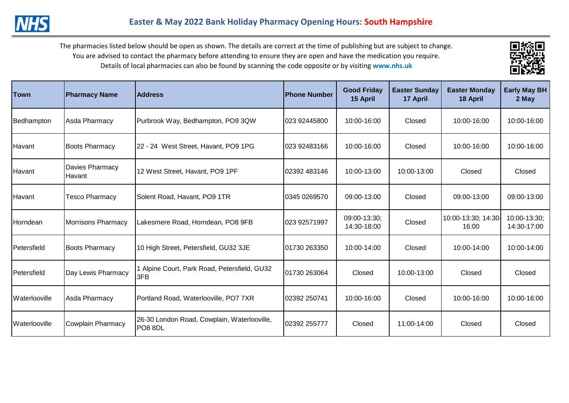

| <b>Town</b>     | <b>Pharmacy Name</b>      | <b>Address</b>                                         | lPhone Number | <b>Good Friday</b><br>15 April | <b>Easter Sunday</b><br>17 April | <b>Easter Monday</b><br>18 April | <b>Early May BH</b><br>2 May |
|-----------------|---------------------------|--------------------------------------------------------|---------------|--------------------------------|----------------------------------|----------------------------------|------------------------------|
| Bedhampton      | Asda Pharmacy             | Purbrook Way, Bedhampton, PO9 3QW                      | 023 92445800  | 10:00-16:00                    | Closed                           | 10:00-16:00                      | 10:00-16:00                  |
| <b>I</b> Havant | <b>Boots Pharmacy</b>     | 22 - 24 West Street, Havant, PO9 1PG                   | 023 92483166  | 10:00-16:00                    | Closed                           | 10:00-16:00                      | 10:00-16:00                  |
| Havant          | Davies Pharmacy<br>Havant | 12 West Street, Havant, PO9 1PF                        | 02392 483146  | 10:00-13:00                    | 10:00-13:00                      | Closed                           | Closed                       |
| Havant          | <b>Tesco Pharmacy</b>     | Solent Road, Havant, PO9 1TR                           | 0345 0269570  | 09:00-13:00                    | Closed                           | 09:00-13:00                      | 09:00-13:00                  |
| Horndean        | <b>Morrisons Pharmacy</b> | Lakesmere Road, Horndean, PO8 9FB                      | 023 92571997  | 09:00-13:30;<br>14:30-18:00    | Closed                           | 10:00-13:30; 14:30-<br>16:00     | 10:00-13:30;<br>14:30-17:00  |
| Petersfield     | <b>Boots Pharmacy</b>     | 10 High Street, Petersfield, GU32 3JE                  | 01730 263350  | 10:00-14:00                    | Closed                           | 10:00-14:00                      | 10:00-14:00                  |
| Petersfield     | Day Lewis Pharmacy        | 1 Alpine Court, Park Road, Petersfield, GU32<br>3FB    | 01730 263064  | Closed                         | 10:00-13:00                      | Closed                           | Closed                       |
| Waterlooville   | Asda Pharmacy             | Portland Road, Waterlooville, PO7 7XR                  | 02392 250741  | 10:00-16:00                    | Closed                           | 10:00-16:00                      | 10:00-16:00                  |
| Waterlooville   | <b>Cowplain Pharmacy</b>  | 26-30 London Road, Cowplain, Waterlooville,<br>PO8 8DL | 02392 255777  | Closed                         | 11:00-14:00                      | Closed                           | Closed                       |